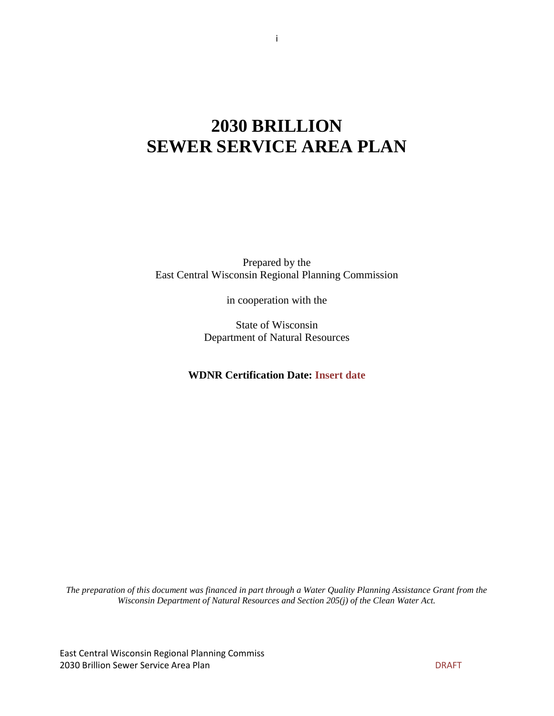# **2030 BRILLION SEWER SERVICE AREA PLAN**

Prepared by the East Central Wisconsin Regional Planning Commission

in cooperation with the

State of Wisconsin Department of Natural Resources

**WDNR Certification Date: Insert date**

*The preparation of this document was financed in part through a Water Quality Planning Assistance Grant from the Wisconsin Department of Natural Resources and Section 205(j) of the Clean Water Act.*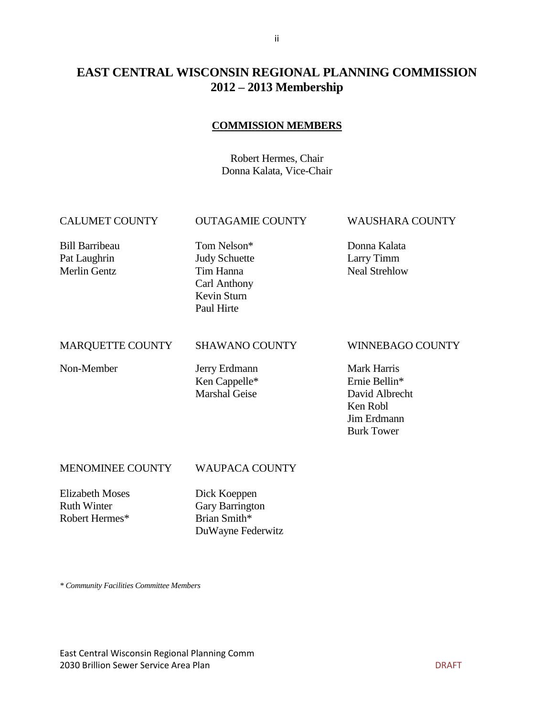## **EAST CENTRAL WISCONSIN REGIONAL PLANNING COMMISSION 2012 – 2013 Membership**

#### **COMMISSION MEMBERS**

Robert Hermes, Chair Donna Kalata, Vice-Chair

#### CALUMET COUNTY OUTAGAMIE COUNTY WAUSHARA COUNTY

Bill Barribeau Tom Nelson\* Donna Kalata

Pat Laughrin **Indy Schuette** Larry Timm Merlin Gentz Tim Hanna Neal Strehlow Carl Anthony Kevin Sturn Paul Hirte

#### MARQUETTE COUNTY SHAWANO COUNTY WINNEBAGO COUNTY

Non-Member Jerry Erdmann Mark Harris Ken Cappelle\* Ernie Bellin\* Marshal Geise David Albrecht

Ken Robl Jim Erdmann Burk Tower

#### MENOMINEE COUNTY WAUPACA COUNTY

Elizabeth Moses Dick Koeppen Ruth Winter Gary Barrington Robert Hermes\* Brian Smith\*

DuWayne Federwitz

*\* Community Facilities Committee Members*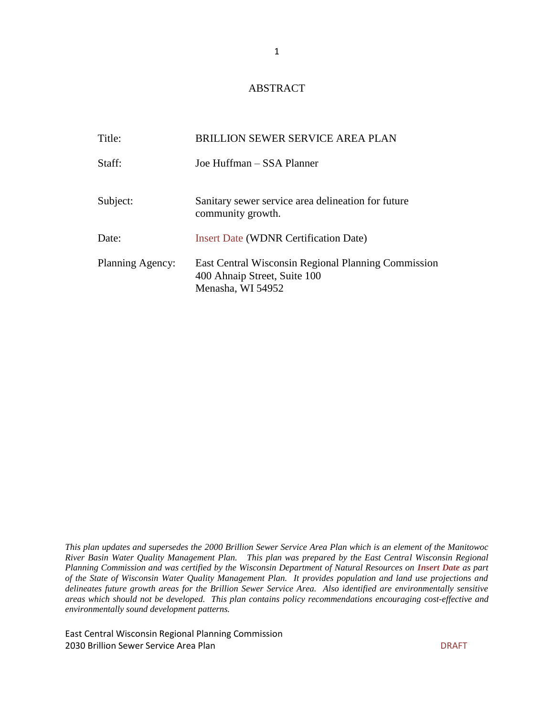#### ABSTRACT

| Title:           | <b>BRILLION SEWER SERVICE AREA PLAN</b>                                                                  |
|------------------|----------------------------------------------------------------------------------------------------------|
| Staff:           | Joe Huffman – SSA Planner                                                                                |
| Subject:         | Sanitary sewer service area delineation for future<br>community growth.                                  |
| Date:            | <b>Insert Date (WDNR Certification Date)</b>                                                             |
| Planning Agency: | East Central Wisconsin Regional Planning Commission<br>400 Ahnaip Street, Suite 100<br>Menasha, WI 54952 |

*This plan updates and supersedes the 2000 Brillion Sewer Service Area Plan which is an element of the Manitowoc River Basin Water Quality Management Plan. This plan was prepared by the East Central Wisconsin Regional Planning Commission and was certified by the Wisconsin Department of Natural Resources on Insert Date as part of the State of Wisconsin Water Quality Management Plan. It provides population and land use projections and delineates future growth areas for the Brillion Sewer Service Area. Also identified are environmentally sensitive areas which should not be developed. This plan contains policy recommendations encouraging cost-effective and environmentally sound development patterns.*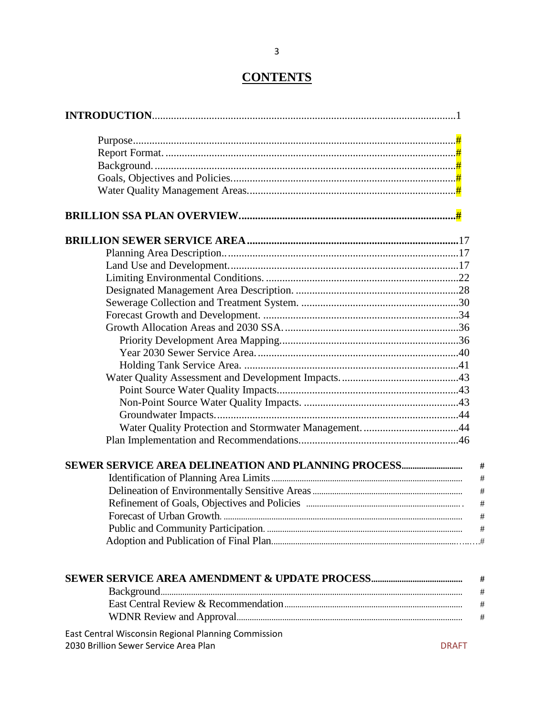# **CONTENTS**

| SEWER SERVICE AREA DELINEATION AND PLANNING PROCESS |              |
|-----------------------------------------------------|--------------|
|                                                     |              |
|                                                     |              |
|                                                     |              |
|                                                     |              |
|                                                     |              |
|                                                     |              |
|                                                     |              |
|                                                     |              |
|                                                     |              |
|                                                     |              |
|                                                     |              |
|                                                     |              |
| East Central Wisconsin Regional Planning Commission |              |
| 2030 Brillion Sewer Service Area Plan               | <b>DRAFT</b> |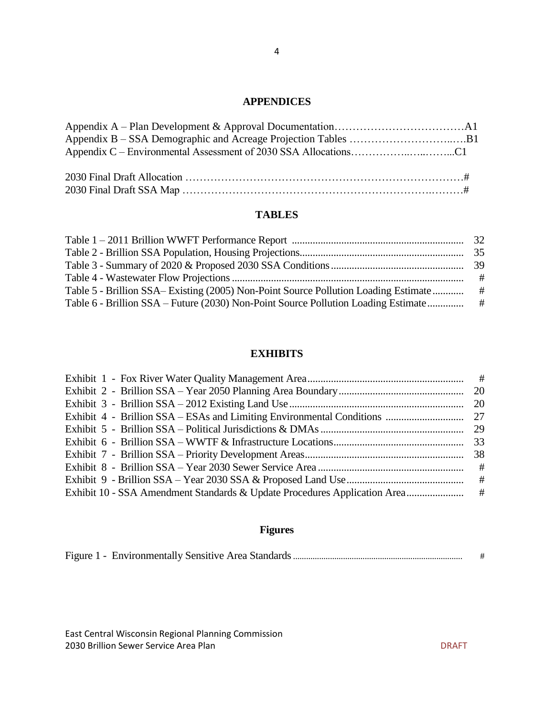### **APPENDICES**

### **TABLES**

|                                                                                      | # |
|--------------------------------------------------------------------------------------|---|
| Table 5 - Brillion SSA – Existing (2005) Non-Point Source Pollution Loading Estimate | # |
| Table 6 - Brillion SSA – Future (2030) Non-Point Source Pollution Loading Estimate   | # |
|                                                                                      |   |

#### **EXHIBITS**

# **Figures**

|--|--|--|--|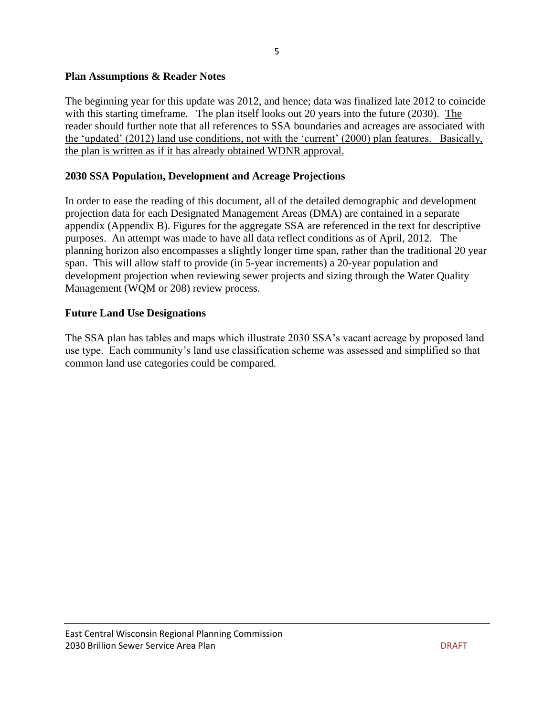#### **Plan Assumptions & Reader Notes**

The beginning year for this update was 2012, and hence; data was finalized late 2012 to coincide with this starting timeframe. The plan itself looks out 20 years into the future (2030). The reader should further note that all references to SSA boundaries and acreages are associated with the 'updated' (2012) land use conditions, not with the 'current' (2000) plan features. Basically, the plan is written as if it has already obtained WDNR approval.

### **2030 SSA Population, Development and Acreage Projections**

In order to ease the reading of this document, all of the detailed demographic and development projection data for each Designated Management Areas (DMA) are contained in a separate appendix (Appendix B). Figures for the aggregate SSA are referenced in the text for descriptive purposes. An attempt was made to have all data reflect conditions as of April, 2012. The planning horizon also encompasses a slightly longer time span, rather than the traditional 20 year span. This will allow staff to provide (in 5-year increments) a 20-year population and development projection when reviewing sewer projects and sizing through the Water Quality Management (WQM or 208) review process.

### **Future Land Use Designations**

The SSA plan has tables and maps which illustrate 2030 SSA's vacant acreage by proposed land use type. Each community's land use classification scheme was assessed and simplified so that common land use categories could be compared.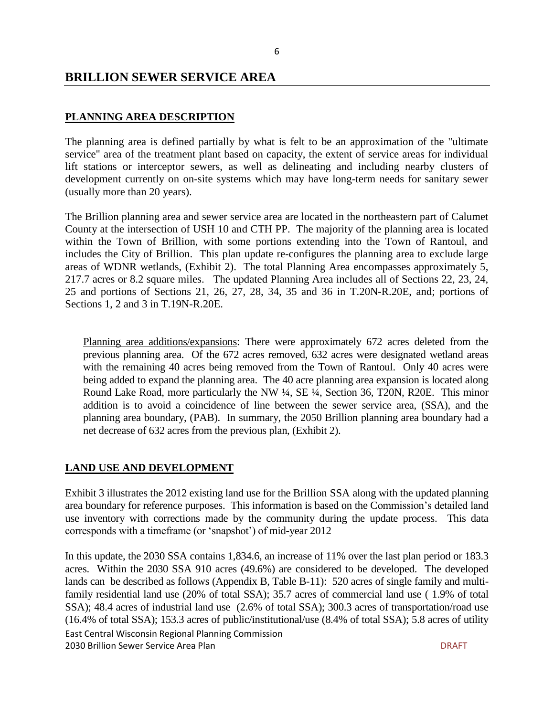#### **BRILLION SEWER SERVICE AREA**

#### **PLANNING AREA DESCRIPTION**

The planning area is defined partially by what is felt to be an approximation of the "ultimate service" area of the treatment plant based on capacity, the extent of service areas for individual lift stations or interceptor sewers, as well as delineating and including nearby clusters of development currently on on-site systems which may have long-term needs for sanitary sewer (usually more than 20 years).

The Brillion planning area and sewer service area are located in the northeastern part of Calumet County at the intersection of USH 10 and CTH PP. The majority of the planning area is located within the Town of Brillion, with some portions extending into the Town of Rantoul, and includes the City of Brillion. This plan update re-configures the planning area to exclude large areas of WDNR wetlands, (Exhibit 2). The total Planning Area encompasses approximately 5, 217.7 acres or 8.2 square miles. The updated Planning Area includes all of Sections 22, 23, 24, 25 and portions of Sections 21, 26, 27, 28, 34, 35 and 36 in T.20N-R.20E, and; portions of Sections 1, 2 and 3 in T.19N-R.20E.

Planning area additions/expansions: There were approximately 672 acres deleted from the previous planning area. Of the 672 acres removed, 632 acres were designated wetland areas with the remaining 40 acres being removed from the Town of Rantoul. Only 40 acres were being added to expand the planning area. The 40 acre planning area expansion is located along Round Lake Road, more particularly the NW ¼, SE ¼, Section 36, T20N, R20E. This minor addition is to avoid a coincidence of line between the sewer service area, (SSA), and the planning area boundary, (PAB). In summary, the 2050 Brillion planning area boundary had a net decrease of 632 acres from the previous plan, (Exhibit 2).

#### **LAND USE AND DEVELOPMENT**

Exhibit 3 illustrates the 2012 existing land use for the Brillion SSA along with the updated planning area boundary for reference purposes. This information is based on the Commission's detailed land use inventory with corrections made by the community during the update process. This data corresponds with a timeframe (or 'snapshot') of mid-year 2012

East Central Wisconsin Regional Planning Commission 2030 Brillion Sewer Service Area Plan DRAFT In this update, the 2030 SSA contains 1,834.6, an increase of 11% over the last plan period or 183.3 acres. Within the 2030 SSA 910 acres (49.6%) are considered to be developed. The developed lands can be described as follows (Appendix B, Table B-11): 520 acres of single family and multifamily residential land use (20% of total SSA); 35.7 acres of commercial land use ( 1.9% of total SSA); 48.4 acres of industrial land use (2.6% of total SSA); 300.3 acres of transportation/road use (16.4% of total SSA); 153.3 acres of public/institutional/use (8.4% of total SSA); 5.8 acres of utility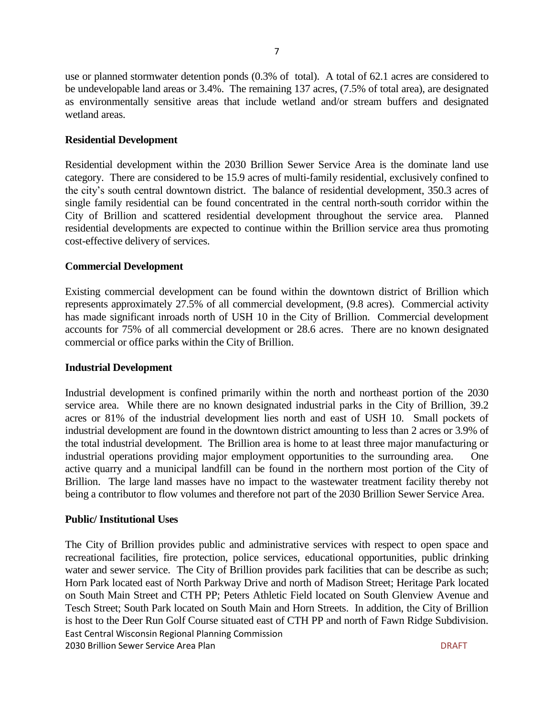use or planned stormwater detention ponds (0.3% of total). A total of 62.1 acres are considered to be undevelopable land areas or 3.4%. The remaining 137 acres, (7.5% of total area), are designated as environmentally sensitive areas that include wetland and/or stream buffers and designated wetland areas.

#### **Residential Development**

Residential development within the 2030 Brillion Sewer Service Area is the dominate land use category. There are considered to be 15.9 acres of multi-family residential, exclusively confined to the city's south central downtown district. The balance of residential development, 350.3 acres of single family residential can be found concentrated in the central north-south corridor within the City of Brillion and scattered residential development throughout the service area. Planned residential developments are expected to continue within the Brillion service area thus promoting cost-effective delivery of services.

#### **Commercial Development**

Existing commercial development can be found within the downtown district of Brillion which represents approximately 27.5% of all commercial development, (9.8 acres). Commercial activity has made significant inroads north of USH 10 in the City of Brillion. Commercial development accounts for 75% of all commercial development or 28.6 acres. There are no known designated commercial or office parks within the City of Brillion.

#### **Industrial Development**

Industrial development is confined primarily within the north and northeast portion of the 2030 service area. While there are no known designated industrial parks in the City of Brillion, 39.2 acres or 81% of the industrial development lies north and east of USH 10. Small pockets of industrial development are found in the downtown district amounting to less than 2 acres or 3.9% of the total industrial development. The Brillion area is home to at least three major manufacturing or industrial operations providing major employment opportunities to the surrounding area. One active quarry and a municipal landfill can be found in the northern most portion of the City of Brillion. The large land masses have no impact to the wastewater treatment facility thereby not being a contributor to flow volumes and therefore not part of the 2030 Brillion Sewer Service Area.

#### **Public/ Institutional Uses**

East Central Wisconsin Regional Planning Commission 2030 Brillion Sewer Service Area Plan DRAFT New York Service Area Plan DRAFT New York Service Area Plan DRAFT The City of Brillion provides public and administrative services with respect to open space and recreational facilities, fire protection, police services, educational opportunities, public drinking water and sewer service. The City of Brillion provides park facilities that can be describe as such; Horn Park located east of North Parkway Drive and north of Madison Street; Heritage Park located on South Main Street and CTH PP; Peters Athletic Field located on South Glenview Avenue and Tesch Street; South Park located on South Main and Horn Streets. In addition, the City of Brillion is host to the Deer Run Golf Course situated east of CTH PP and north of Fawn Ridge Subdivision.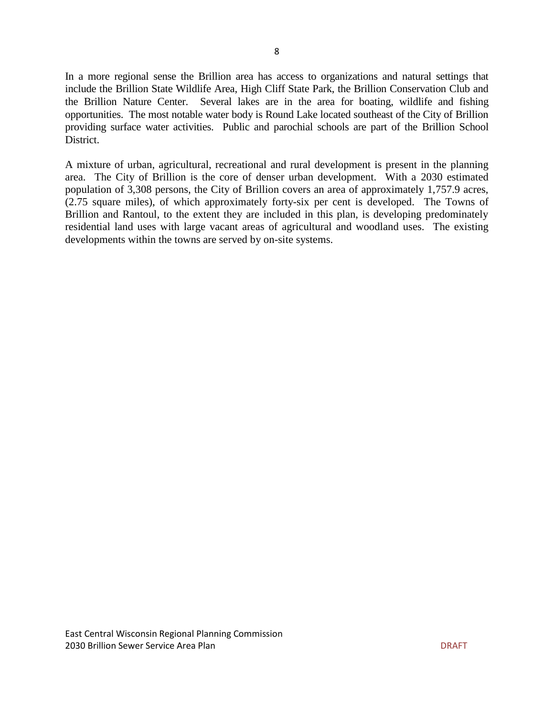In a more regional sense the Brillion area has access to organizations and natural settings that include the Brillion State Wildlife Area, High Cliff State Park, the Brillion Conservation Club and the Brillion Nature Center. Several lakes are in the area for boating, wildlife and fishing opportunities. The most notable water body is Round Lake located southeast of the City of Brillion providing surface water activities. Public and parochial schools are part of the Brillion School District.

A mixture of urban, agricultural, recreational and rural development is present in the planning area. The City of Brillion is the core of denser urban development. With a 2030 estimated population of 3,308 persons, the City of Brillion covers an area of approximately 1,757.9 acres, (2.75 square miles), of which approximately forty-six per cent is developed. The Towns of Brillion and Rantoul, to the extent they are included in this plan, is developing predominately residential land uses with large vacant areas of agricultural and woodland uses. The existing developments within the towns are served by on-site systems.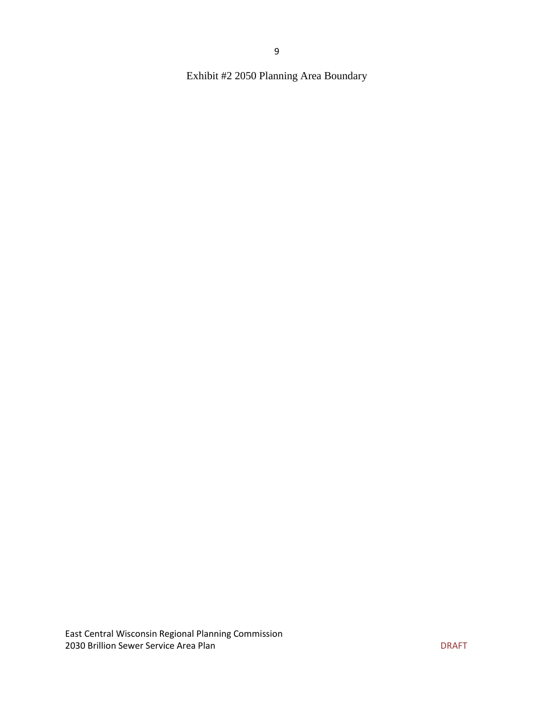Exhibit #2 2050 Planning Area Boundary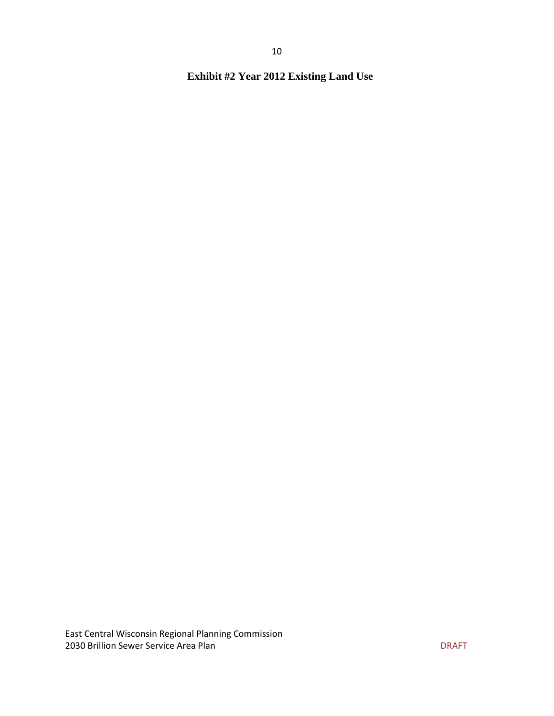**Exhibit #2 Year 2012 Existing Land Use**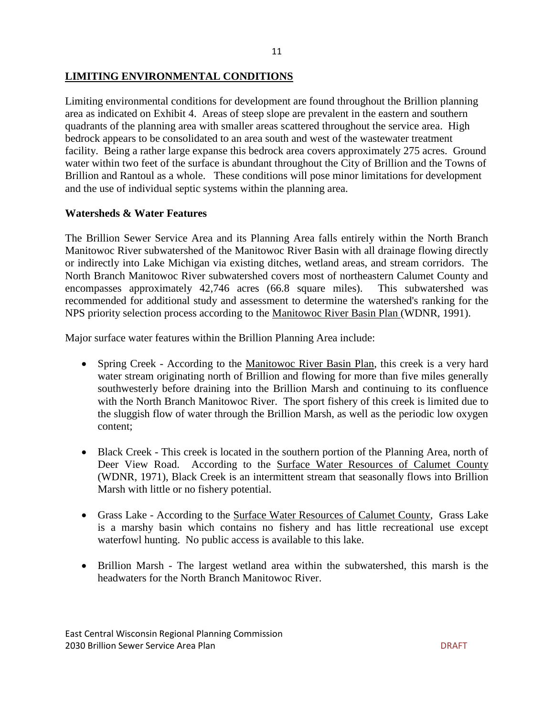#### **LIMITING ENVIRONMENTAL CONDITIONS**

Limiting environmental conditions for development are found throughout the Brillion planning area as indicated on Exhibit 4. Areas of steep slope are prevalent in the eastern and southern quadrants of the planning area with smaller areas scattered throughout the service area. High bedrock appears to be consolidated to an area south and west of the wastewater treatment facility. Being a rather large expanse this bedrock area covers approximately 275 acres. Ground water within two feet of the surface is abundant throughout the City of Brillion and the Towns of Brillion and Rantoul as a whole. These conditions will pose minor limitations for development and the use of individual septic systems within the planning area.

#### **Watersheds & Water Features**

The Brillion Sewer Service Area and its Planning Area falls entirely within the North Branch Manitowoc River subwatershed of the Manitowoc River Basin with all drainage flowing directly or indirectly into Lake Michigan via existing ditches, wetland areas, and stream corridors. The North Branch Manitowoc River subwatershed covers most of northeastern Calumet County and encompasses approximately 42,746 acres (66.8 square miles). This subwatershed was recommended for additional study and assessment to determine the watershed's ranking for the NPS priority selection process according to the Manitowoc River Basin Plan (WDNR, 1991).

Major surface water features within the Brillion Planning Area include:

- Spring Creek According to the Manitowoc River Basin Plan, this creek is a very hard water stream originating north of Brillion and flowing for more than five miles generally southwesterly before draining into the Brillion Marsh and continuing to its confluence with the North Branch Manitowoc River. The sport fishery of this creek is limited due to the sluggish flow of water through the Brillion Marsh, as well as the periodic low oxygen content;
- Black Creek This creek is located in the southern portion of the Planning Area, north of Deer View Road. According to the Surface Water Resources of Calumet County (WDNR, 1971), Black Creek is an intermittent stream that seasonally flows into Brillion Marsh with little or no fishery potential.
- Grass Lake According to the Surface Water Resources of Calumet County, Grass Lake is a marshy basin which contains no fishery and has little recreational use except waterfowl hunting. No public access is available to this lake.
- Brillion Marsh The largest wetland area within the subwatershed, this marsh is the headwaters for the North Branch Manitowoc River.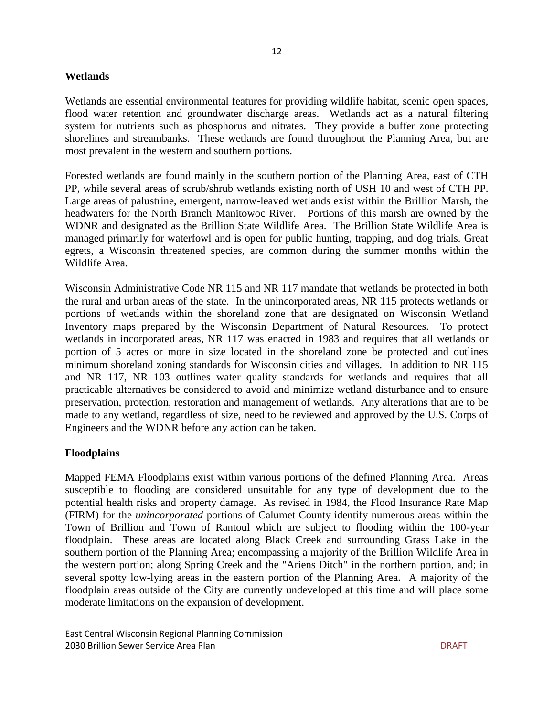#### **Wetlands**

Wetlands are essential environmental features for providing wildlife habitat, scenic open spaces, flood water retention and groundwater discharge areas. Wetlands act as a natural filtering system for nutrients such as phosphorus and nitrates. They provide a buffer zone protecting shorelines and streambanks. These wetlands are found throughout the Planning Area, but are most prevalent in the western and southern portions.

Forested wetlands are found mainly in the southern portion of the Planning Area, east of CTH PP, while several areas of scrub/shrub wetlands existing north of USH 10 and west of CTH PP. Large areas of palustrine, emergent, narrow-leaved wetlands exist within the Brillion Marsh, the headwaters for the North Branch Manitowoc River. Portions of this marsh are owned by the WDNR and designated as the Brillion State Wildlife Area. The Brillion State Wildlife Area is managed primarily for waterfowl and is open for public hunting, trapping, and dog trials. Great egrets, a Wisconsin threatened species, are common during the summer months within the Wildlife Area.

Wisconsin Administrative Code NR 115 and NR 117 mandate that wetlands be protected in both the rural and urban areas of the state. In the unincorporated areas, NR 115 protects wetlands or portions of wetlands within the shoreland zone that are designated on Wisconsin Wetland Inventory maps prepared by the Wisconsin Department of Natural Resources. To protect wetlands in incorporated areas, NR 117 was enacted in 1983 and requires that all wetlands or portion of 5 acres or more in size located in the shoreland zone be protected and outlines minimum shoreland zoning standards for Wisconsin cities and villages. In addition to NR 115 and NR 117, NR 103 outlines water quality standards for wetlands and requires that all practicable alternatives be considered to avoid and minimize wetland disturbance and to ensure preservation, protection, restoration and management of wetlands. Any alterations that are to be made to any wetland, regardless of size, need to be reviewed and approved by the U.S. Corps of Engineers and the WDNR before any action can be taken.

#### **Floodplains**

Mapped FEMA Floodplains exist within various portions of the defined Planning Area. Areas susceptible to flooding are considered unsuitable for any type of development due to the potential health risks and property damage. As revised in 1984, the Flood Insurance Rate Map (FIRM) for the *unincorporated* portions of Calumet County identify numerous areas within the Town of Brillion and Town of Rantoul which are subject to flooding within the 100-year floodplain. These areas are located along Black Creek and surrounding Grass Lake in the southern portion of the Planning Area; encompassing a majority of the Brillion Wildlife Area in the western portion; along Spring Creek and the "Ariens Ditch" in the northern portion, and; in several spotty low-lying areas in the eastern portion of the Planning Area. A majority of the floodplain areas outside of the City are currently undeveloped at this time and will place some moderate limitations on the expansion of development.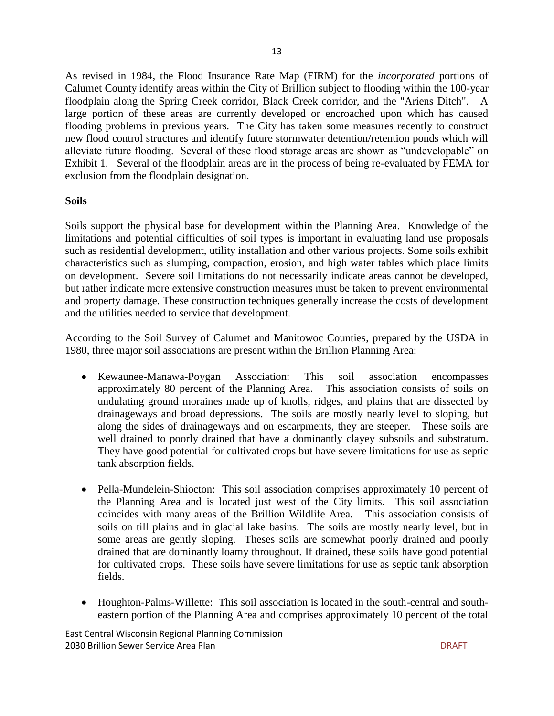As revised in 1984, the Flood Insurance Rate Map (FIRM) for the *incorporated* portions of Calumet County identify areas within the City of Brillion subject to flooding within the 100-year floodplain along the Spring Creek corridor, Black Creek corridor, and the "Ariens Ditch". A large portion of these areas are currently developed or encroached upon which has caused flooding problems in previous years. The City has taken some measures recently to construct new flood control structures and identify future stormwater detention/retention ponds which will alleviate future flooding. Several of these flood storage areas are shown as "undevelopable" on Exhibit 1. Several of the floodplain areas are in the process of being re-evaluated by FEMA for exclusion from the floodplain designation.

#### **Soils**

Soils support the physical base for development within the Planning Area. Knowledge of the limitations and potential difficulties of soil types is important in evaluating land use proposals such as residential development, utility installation and other various projects. Some soils exhibit characteristics such as slumping, compaction, erosion, and high water tables which place limits on development. Severe soil limitations do not necessarily indicate areas cannot be developed, but rather indicate more extensive construction measures must be taken to prevent environmental and property damage. These construction techniques generally increase the costs of development and the utilities needed to service that development.

According to the Soil Survey of Calumet and Manitowoc Counties, prepared by the USDA in 1980, three major soil associations are present within the Brillion Planning Area:

- Kewaunee-Manawa-Poygan Association: This soil association encompasses approximately 80 percent of the Planning Area. This association consists of soils on undulating ground moraines made up of knolls, ridges, and plains that are dissected by drainageways and broad depressions. The soils are mostly nearly level to sloping, but along the sides of drainageways and on escarpments, they are steeper. These soils are well drained to poorly drained that have a dominantly clayey subsoils and substratum. They have good potential for cultivated crops but have severe limitations for use as septic tank absorption fields.
- Pella-Mundelein-Shiocton: This soil association comprises approximately 10 percent of the Planning Area and is located just west of the City limits. This soil association coincides with many areas of the Brillion Wildlife Area. This association consists of soils on till plains and in glacial lake basins. The soils are mostly nearly level, but in some areas are gently sloping. Theses soils are somewhat poorly drained and poorly drained that are dominantly loamy throughout. If drained, these soils have good potential for cultivated crops. These soils have severe limitations for use as septic tank absorption fields.
- Houghton-Palms-Willette: This soil association is located in the south-central and southeastern portion of the Planning Area and comprises approximately 10 percent of the total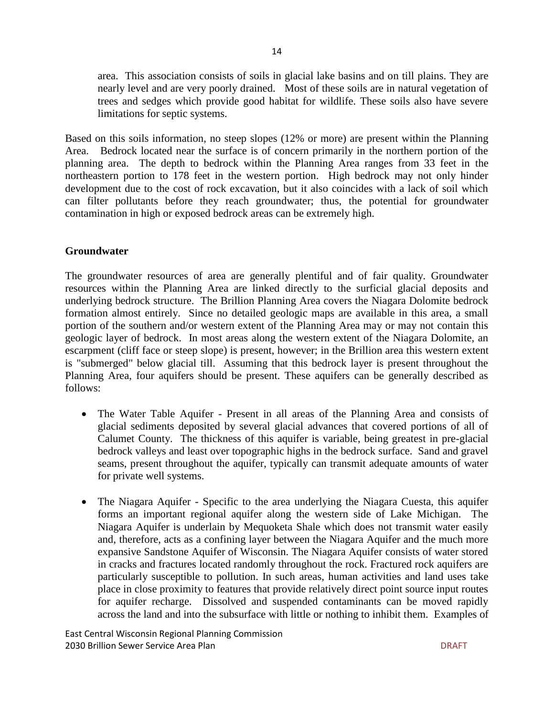area. This association consists of soils in glacial lake basins and on till plains. They are nearly level and are very poorly drained. Most of these soils are in natural vegetation of trees and sedges which provide good habitat for wildlife. These soils also have severe limitations for septic systems.

Based on this soils information, no steep slopes (12% or more) are present within the Planning Area. Bedrock located near the surface is of concern primarily in the northern portion of the planning area. The depth to bedrock within the Planning Area ranges from 33 feet in the northeastern portion to 178 feet in the western portion. High bedrock may not only hinder development due to the cost of rock excavation, but it also coincides with a lack of soil which can filter pollutants before they reach groundwater; thus, the potential for groundwater contamination in high or exposed bedrock areas can be extremely high.

#### **Groundwater**

The groundwater resources of area are generally plentiful and of fair quality. Groundwater resources within the Planning Area are linked directly to the surficial glacial deposits and underlying bedrock structure. The Brillion Planning Area covers the Niagara Dolomite bedrock formation almost entirely. Since no detailed geologic maps are available in this area, a small portion of the southern and/or western extent of the Planning Area may or may not contain this geologic layer of bedrock. In most areas along the western extent of the Niagara Dolomite, an escarpment (cliff face or steep slope) is present, however; in the Brillion area this western extent is "submerged" below glacial till. Assuming that this bedrock layer is present throughout the Planning Area, four aquifers should be present. These aquifers can be generally described as follows:

- The Water Table Aquifer Present in all areas of the Planning Area and consists of glacial sediments deposited by several glacial advances that covered portions of all of Calumet County. The thickness of this aquifer is variable, being greatest in pre-glacial bedrock valleys and least over topographic highs in the bedrock surface. Sand and gravel seams, present throughout the aquifer, typically can transmit adequate amounts of water for private well systems.
- The Niagara Aquifer Specific to the area underlying the Niagara Cuesta, this aquifer forms an important regional aquifer along the western side of Lake Michigan. The Niagara Aquifer is underlain by Mequoketa Shale which does not transmit water easily and, therefore, acts as a confining layer between the Niagara Aquifer and the much more expansive Sandstone Aquifer of Wisconsin. The Niagara Aquifer consists of water stored in cracks and fractures located randomly throughout the rock. Fractured rock aquifers are particularly susceptible to pollution. In such areas, human activities and land uses take place in close proximity to features that provide relatively direct point source input routes for aquifer recharge. Dissolved and suspended contaminants can be moved rapidly across the land and into the subsurface with little or nothing to inhibit them. Examples of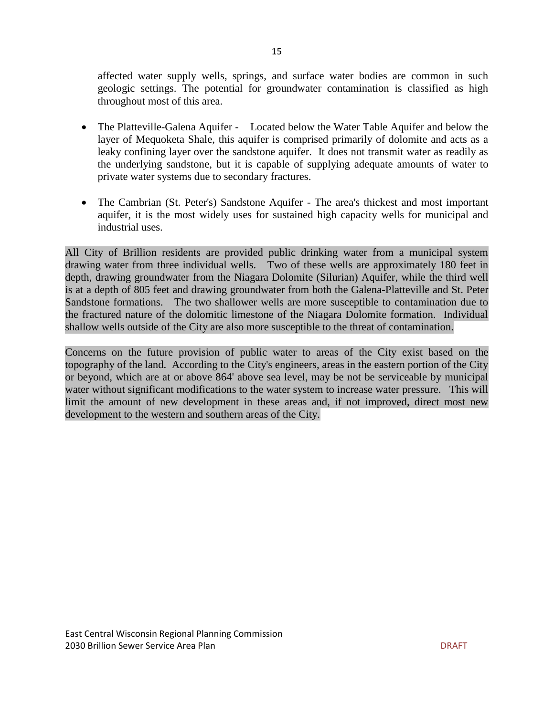affected water supply wells, springs, and surface water bodies are common in such geologic settings. The potential for groundwater contamination is classified as high throughout most of this area.

- The Platteville-Galena Aquifer Located below the Water Table Aquifer and below the layer of Mequoketa Shale, this aquifer is comprised primarily of dolomite and acts as a leaky confining layer over the sandstone aquifer. It does not transmit water as readily as the underlying sandstone, but it is capable of supplying adequate amounts of water to private water systems due to secondary fractures.
- The Cambrian (St. Peter's) Sandstone Aquifer The area's thickest and most important aquifer, it is the most widely uses for sustained high capacity wells for municipal and industrial uses.

All City of Brillion residents are provided public drinking water from a municipal system drawing water from three individual wells. Two of these wells are approximately 180 feet in depth, drawing groundwater from the Niagara Dolomite (Silurian) Aquifer, while the third well is at a depth of 805 feet and drawing groundwater from both the Galena-Platteville and St. Peter Sandstone formations. The two shallower wells are more susceptible to contamination due to the fractured nature of the dolomitic limestone of the Niagara Dolomite formation. Individual shallow wells outside of the City are also more susceptible to the threat of contamination.

Concerns on the future provision of public water to areas of the City exist based on the topography of the land. According to the City's engineers, areas in the eastern portion of the City or beyond, which are at or above 864' above sea level, may be not be serviceable by municipal water without significant modifications to the water system to increase water pressure. This will limit the amount of new development in these areas and, if not improved, direct most new development to the western and southern areas of the City.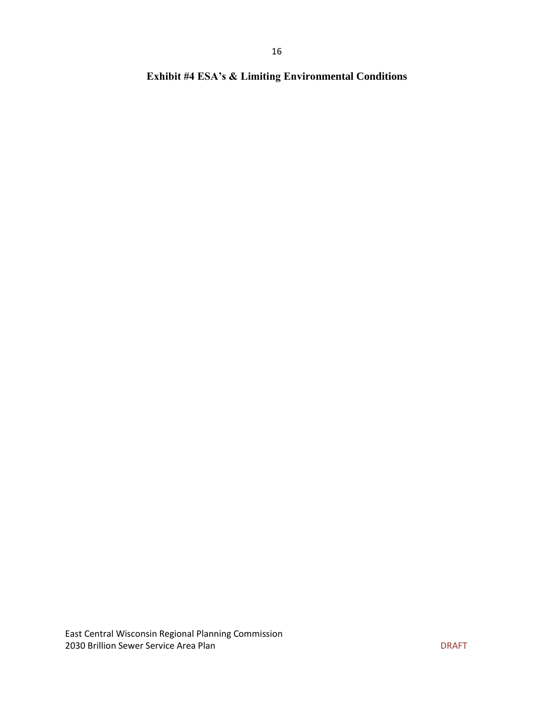**Exhibit #4 ESA's & Limiting Environmental Conditions**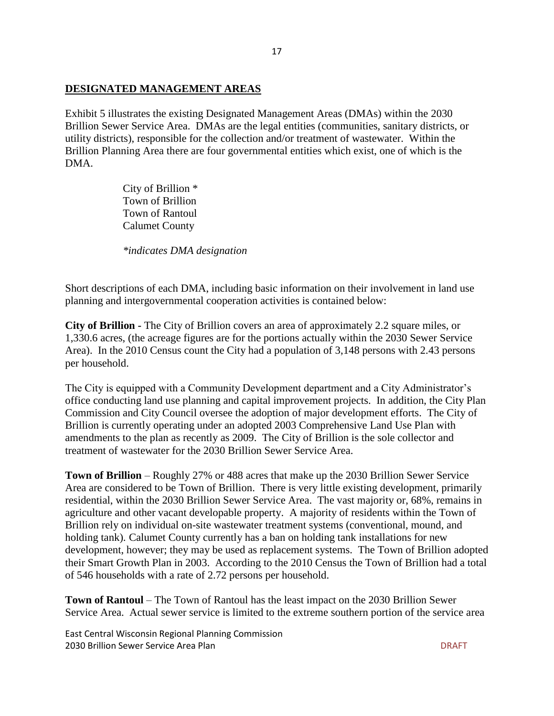#### **DESIGNATED MANAGEMENT AREAS**

Exhibit 5 illustrates the existing Designated Management Areas (DMAs) within the 2030 Brillion Sewer Service Area. DMAs are the legal entities (communities, sanitary districts, or utility districts), responsible for the collection and/or treatment of wastewater. Within the Brillion Planning Area there are four governmental entities which exist, one of which is the DMA.

> City of Brillion \* Town of Brillion Town of Rantoul Calumet County

*\*indicates DMA designation*

Short descriptions of each DMA, including basic information on their involvement in land use planning and intergovernmental cooperation activities is contained below:

**City of Brillion -** The City of Brillion covers an area of approximately 2.2 square miles, or 1,330.6 acres, (the acreage figures are for the portions actually within the 2030 Sewer Service Area). In the 2010 Census count the City had a population of 3,148 persons with 2.43 persons per household.

The City is equipped with a Community Development department and a City Administrator's office conducting land use planning and capital improvement projects. In addition, the City Plan Commission and City Council oversee the adoption of major development efforts. The City of Brillion is currently operating under an adopted 2003 Comprehensive Land Use Plan with amendments to the plan as recently as 2009. The City of Brillion is the sole collector and treatment of wastewater for the 2030 Brillion Sewer Service Area.

**Town of Brillion** – Roughly 27% or 488 acres that make up the 2030 Brillion Sewer Service Area are considered to be Town of Brillion. There is very little existing development, primarily residential, within the 2030 Brillion Sewer Service Area. The vast majority or, 68%, remains in agriculture and other vacant developable property. A majority of residents within the Town of Brillion rely on individual on-site wastewater treatment systems (conventional, mound, and holding tank). Calumet County currently has a ban on holding tank installations for new development, however; they may be used as replacement systems. The Town of Brillion adopted their Smart Growth Plan in 2003. According to the 2010 Census the Town of Brillion had a total of 546 households with a rate of 2.72 persons per household.

**Town of Rantoul** – The Town of Rantoul has the least impact on the 2030 Brillion Sewer Service Area. Actual sewer service is limited to the extreme southern portion of the service area

East Central Wisconsin Regional Planning Commission 2030 Brillion Sewer Service Area Plan DRAFT New York 1999 Brillion Sewer Service Area Plan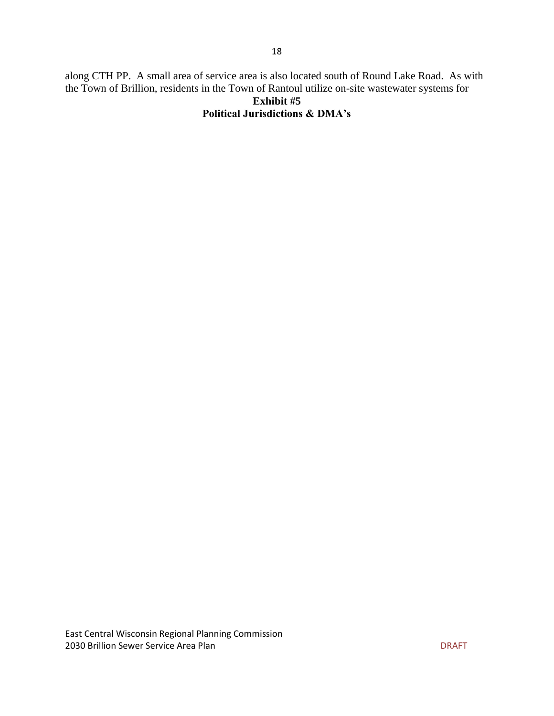along CTH PP. A small area of service area is also located south of Round Lake Road. As with the Town of Brillion, residents in the Town of Rantoul utilize on-site wastewater systems for **Exhibit #5**

## **Political Jurisdictions & DMA's**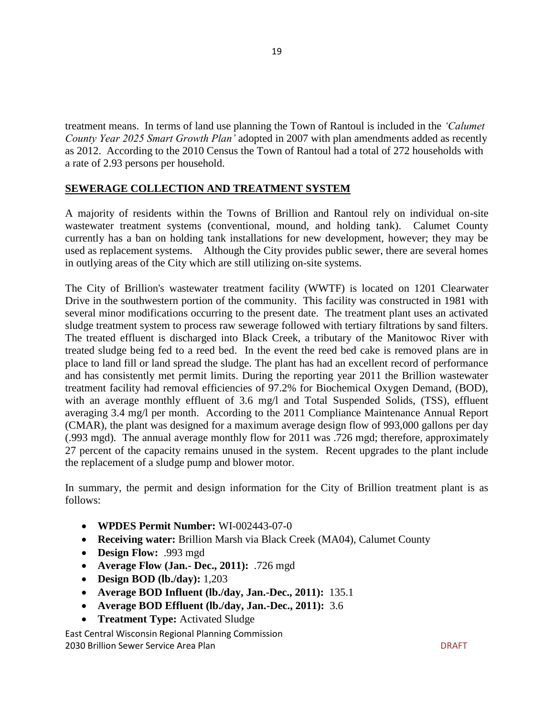treatment means. In terms of land use planning the Town of Rantoul is included in the *'Calumet County Year 2025 Smart Growth Plan'* adopted in 2007 with plan amendments added as recently as 2012. According to the 2010 Census the Town of Rantoul had a total of 272 households with a rate of 2.93 persons per household.

#### **SEWERAGE COLLECTION AND TREATMENT SYSTEM**

A majority of residents within the Towns of Brillion and Rantoul rely on individual on-site wastewater treatment systems (conventional, mound, and holding tank). Calumet County currently has a ban on holding tank installations for new development, however; they may be used as replacement systems. Although the City provides public sewer, there are several homes in outlying areas of the City which are still utilizing on-site systems.

The City of Brillion's wastewater treatment facility (WWTF) is located on 1201 Clearwater Drive in the southwestern portion of the community. This facility was constructed in 1981 with several minor modifications occurring to the present date. The treatment plant uses an activated sludge treatment system to process raw sewerage followed with tertiary filtrations by sand filters. The treated effluent is discharged into Black Creek, a tributary of the Manitowoc River with treated sludge being fed to a reed bed. In the event the reed bed cake is removed plans are in place to land fill or land spread the sludge. The plant has had an excellent record of performance and has consistently met permit limits. During the reporting year 2011 the Brillion wastewater treatment facility had removal efficiencies of 97.2% for Biochemical Oxygen Demand, (BOD), with an average monthly effluent of 3.6 mg/l and Total Suspended Solids, (TSS), effluent averaging 3.4 mg/l per month. According to the 2011 Compliance Maintenance Annual Report (CMAR), the plant was designed for a maximum average design flow of 993,000 gallons per day (.993 mgd). The annual average monthly flow for 2011 was .726 mgd; therefore, approximately 27 percent of the capacity remains unused in the system. Recent upgrades to the plant include the replacement of a sludge pump and blower motor.

In summary, the permit and design information for the City of Brillion treatment plant is as follows:

- **WPDES Permit Number:** WI-002443-07-0
- **Receiving water:** Brillion Marsh via Black Creek (MA04), Calumet County
- **Design Flow:** .993 mgd
- **Average Flow (Jan.- Dec., 2011):** .726 mgd
- **Design BOD (lb./day):** 1,203
- **Average BOD Influent (lb./day, Jan.-Dec., 2011):** 135.1
- **Average BOD Effluent (lb./day, Jan.-Dec., 2011):** 3.6
- **Treatment Type:** Activated Sludge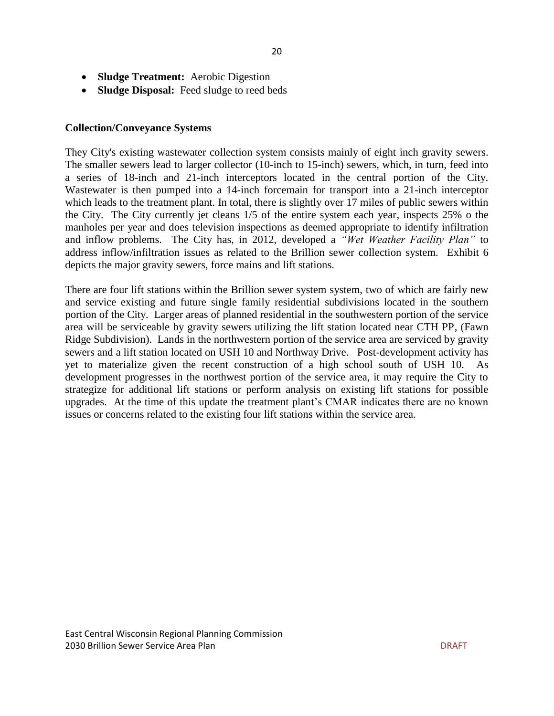- **Sludge Treatment:** Aerobic Digestion
- **Sludge Disposal:** Feed sludge to reed beds

#### **Collection/Conveyance Systems**

They City's existing wastewater collection system consists mainly of eight inch gravity sewers. The smaller sewers lead to larger collector (10-inch to 15-inch) sewers, which, in turn, feed into a series of 18-inch and 21-inch interceptors located in the central portion of the City. Wastewater is then pumped into a 14-inch forcemain for transport into a 21-inch interceptor which leads to the treatment plant. In total, there is slightly over 17 miles of public sewers within the City. The City currently jet cleans 1/5 of the entire system each year, inspects 25% o the manholes per year and does television inspections as deemed appropriate to identify infiltration and inflow problems. The City has, in 2012, developed a *"Wet Weather Facility Plan"* to address inflow/infiltration issues as related to the Brillion sewer collection system. Exhibit 6 depicts the major gravity sewers, force mains and lift stations.

There are four lift stations within the Brillion sewer system system, two of which are fairly new and service existing and future single family residential subdivisions located in the southern portion of the City. Larger areas of planned residential in the southwestern portion of the service area will be serviceable by gravity sewers utilizing the lift station located near CTH PP, (Fawn Ridge Subdivision). Lands in the northwestern portion of the service area are serviced by gravity sewers and a lift station located on USH 10 and Northway Drive. Post-development activity has yet to materialize given the recent construction of a high school south of USH 10. As development progresses in the northwest portion of the service area, it may require the City to strategize for additional lift stations or perform analysis on existing lift stations for possible upgrades. At the time of this update the treatment plant's CMAR indicates there are no known issues or concerns related to the existing four lift stations within the service area.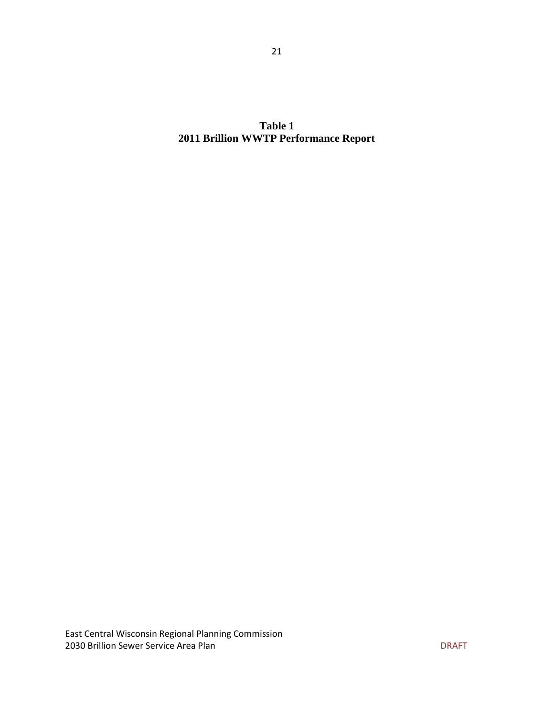**Table 1 2011 Brillion WWTP Performance Report**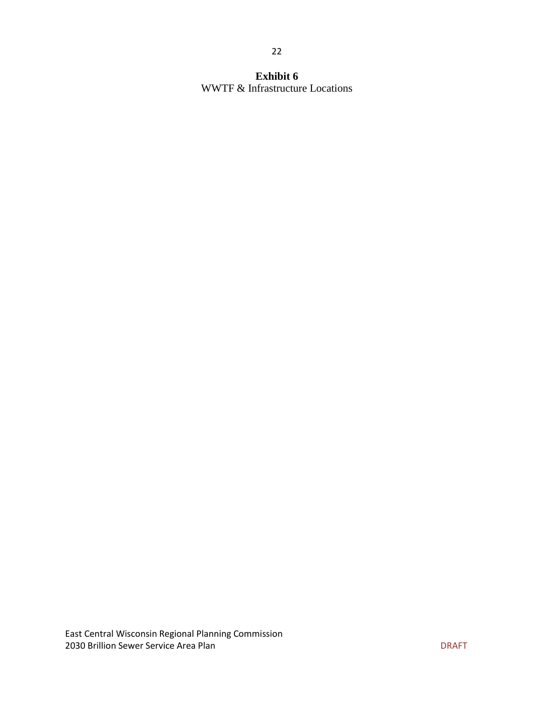#### **Exhibit 6** WWTF & Infrastructure Locations

22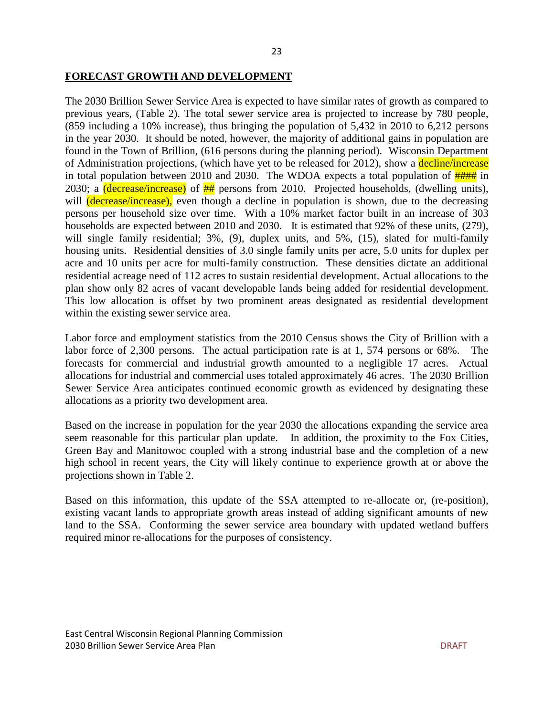#### **FORECAST GROWTH AND DEVELOPMENT**

The 2030 Brillion Sewer Service Area is expected to have similar rates of growth as compared to previous years, (Table 2). The total sewer service area is projected to increase by 780 people, (859 including a 10% increase), thus bringing the population of 5,432 in 2010 to 6,212 persons in the year 2030. It should be noted, however, the majority of additional gains in population are found in the Town of Brillion, (616 persons during the planning period). Wisconsin Department of Administration projections, (which have yet to be released for 2012), show a decline/increase in total population between 2010 and 2030. The WDOA expects a total population of  $\frac{H}{H}$  in 2030; a *(decrease/increase)* of  $\frac{H}{H}$  persons from 2010. Projected households, *(dwelling units)*, will (decrease/increase), even though a decline in population is shown, due to the decreasing persons per household size over time. With a 10% market factor built in an increase of 303 households are expected between 2010 and 2030. It is estimated that 92% of these units, (279), will single family residential; 3%, (9), duplex units, and 5%, (15), slated for multi-family housing units. Residential densities of 3.0 single family units per acre, 5.0 units for duplex per acre and 10 units per acre for multi-family construction. These densities dictate an additional residential acreage need of 112 acres to sustain residential development. Actual allocations to the plan show only 82 acres of vacant developable lands being added for residential development. This low allocation is offset by two prominent areas designated as residential development within the existing sewer service area.

Labor force and employment statistics from the 2010 Census shows the City of Brillion with a labor force of 2,300 persons. The actual participation rate is at 1, 574 persons or 68%. The forecasts for commercial and industrial growth amounted to a negligible 17 acres. Actual allocations for industrial and commercial uses totaled approximately 46 acres. The 2030 Brillion Sewer Service Area anticipates continued economic growth as evidenced by designating these allocations as a priority two development area.

Based on the increase in population for the year 2030 the allocations expanding the service area seem reasonable for this particular plan update. In addition, the proximity to the Fox Cities, Green Bay and Manitowoc coupled with a strong industrial base and the completion of a new high school in recent years, the City will likely continue to experience growth at or above the projections shown in Table 2.

Based on this information, this update of the SSA attempted to re-allocate or, (re-position), existing vacant lands to appropriate growth areas instead of adding significant amounts of new land to the SSA. Conforming the sewer service area boundary with updated wetland buffers required minor re-allocations for the purposes of consistency.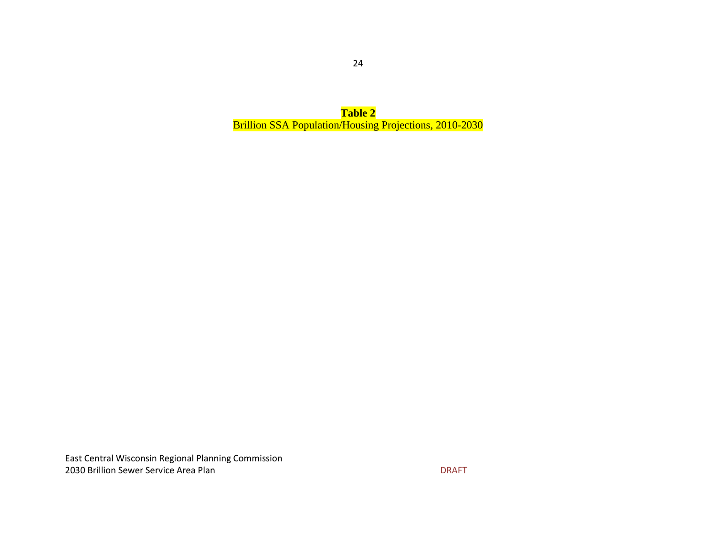**Table 2** Brillion SSA Population/Housing Projections, 2010-2030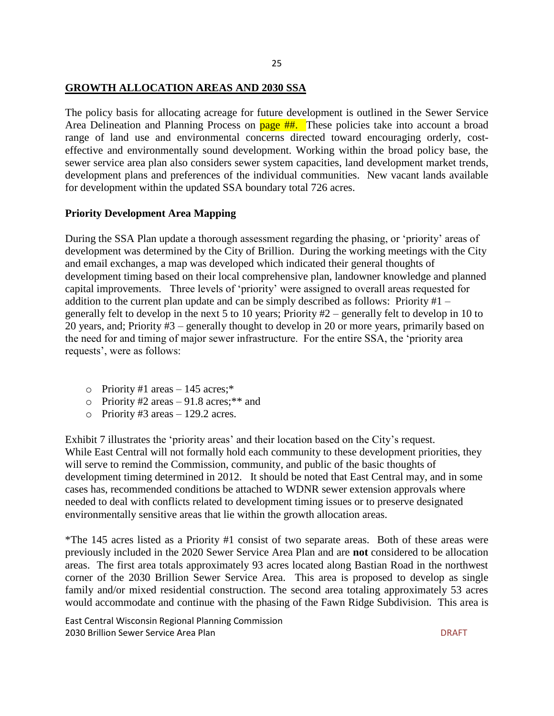#### **GROWTH ALLOCATION AREAS AND 2030 SSA**

The policy basis for allocating acreage for future development is outlined in the Sewer Service Area Delineation and Planning Process on **page ##.** These policies take into account a broad range of land use and environmental concerns directed toward encouraging orderly, costeffective and environmentally sound development. Working within the broad policy base, the sewer service area plan also considers sewer system capacities, land development market trends, development plans and preferences of the individual communities. New vacant lands available for development within the updated SSA boundary total 726 acres.

#### **Priority Development Area Mapping**

During the SSA Plan update a thorough assessment regarding the phasing, or 'priority' areas of development was determined by the City of Brillion. During the working meetings with the City and email exchanges, a map was developed which indicated their general thoughts of development timing based on their local comprehensive plan, landowner knowledge and planned capital improvements. Three levels of 'priority' were assigned to overall areas requested for addition to the current plan update and can be simply described as follows: Priority #1 – generally felt to develop in the next 5 to 10 years; Priority #2 – generally felt to develop in 10 to 20 years, and; Priority #3 – generally thought to develop in 20 or more years, primarily based on the need for and timing of major sewer infrastructure. For the entire SSA, the 'priority area requests', were as follows:

- o Priority #1 areas  $-145$  acres;\*
- o Priority #2 areas  $-91.8$  acres;\*\* and
- $\circ$  Priority #3 areas 129.2 acres.

Exhibit 7 illustrates the 'priority areas' and their location based on the City's request. While East Central will not formally hold each community to these development priorities, they will serve to remind the Commission, community, and public of the basic thoughts of development timing determined in 2012. It should be noted that East Central may, and in some cases has, recommended conditions be attached to WDNR sewer extension approvals where needed to deal with conflicts related to development timing issues or to preserve designated environmentally sensitive areas that lie within the growth allocation areas.

\*The 145 acres listed as a Priority #1 consist of two separate areas. Both of these areas were previously included in the 2020 Sewer Service Area Plan and are **not** considered to be allocation areas. The first area totals approximately 93 acres located along Bastian Road in the northwest corner of the 2030 Brillion Sewer Service Area. This area is proposed to develop as single family and/or mixed residential construction. The second area totaling approximately 53 acres would accommodate and continue with the phasing of the Fawn Ridge Subdivision. This area is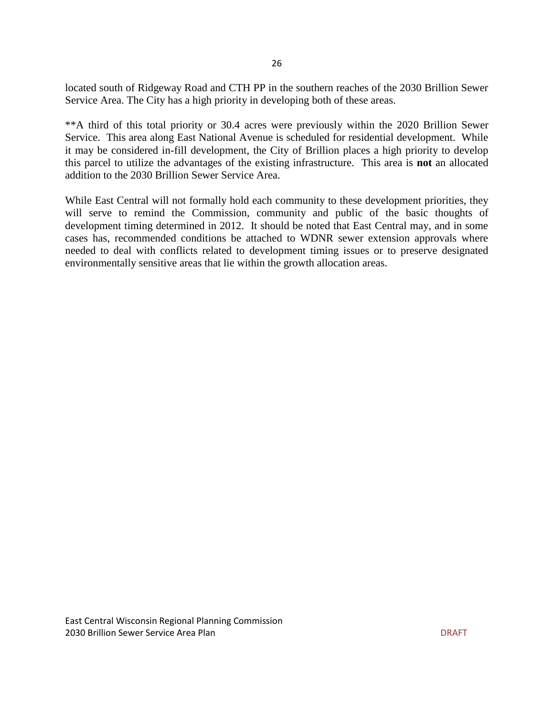located south of Ridgeway Road and CTH PP in the southern reaches of the 2030 Brillion Sewer Service Area. The City has a high priority in developing both of these areas.

\*\*A third of this total priority or 30.4 acres were previously within the 2020 Brillion Sewer Service. This area along East National Avenue is scheduled for residential development. While it may be considered in-fill development, the City of Brillion places a high priority to develop this parcel to utilize the advantages of the existing infrastructure. This area is **not** an allocated addition to the 2030 Brillion Sewer Service Area.

While East Central will not formally hold each community to these development priorities, they will serve to remind the Commission, community and public of the basic thoughts of development timing determined in 2012. It should be noted that East Central may, and in some cases has, recommended conditions be attached to WDNR sewer extension approvals where needed to deal with conflicts related to development timing issues or to preserve designated environmentally sensitive areas that lie within the growth allocation areas.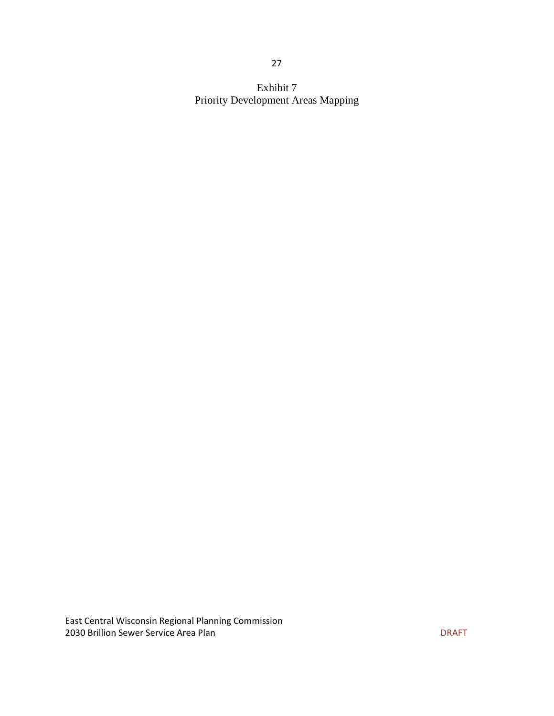Exhibit 7 Priority Development Areas Mapping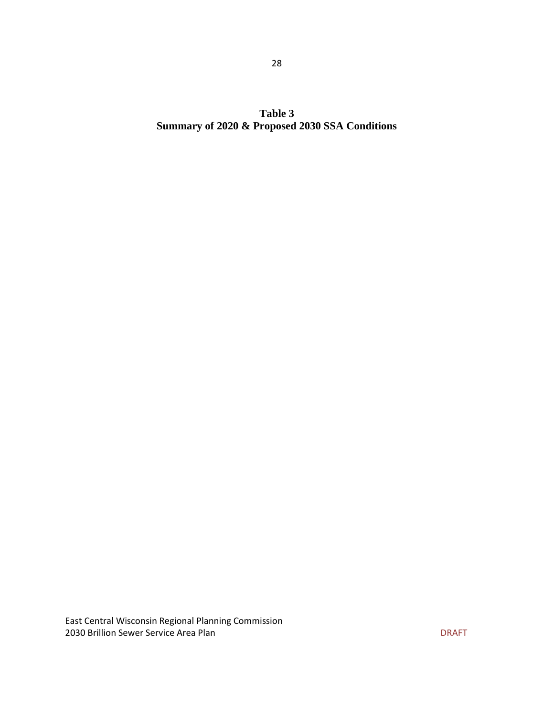**Table 3 Summary of 2020 & Proposed 2030 SSA Conditions**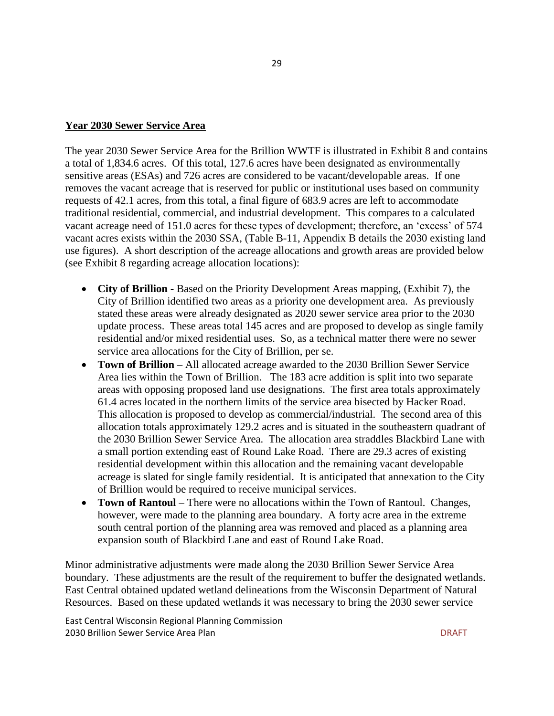#### **Year 2030 Sewer Service Area**

The year 2030 Sewer Service Area for the Brillion WWTF is illustrated in Exhibit 8 and contains a total of 1,834.6 acres. Of this total, 127.6 acres have been designated as environmentally sensitive areas (ESAs) and 726 acres are considered to be vacant/developable areas. If one removes the vacant acreage that is reserved for public or institutional uses based on community requests of 42.1 acres, from this total, a final figure of 683.9 acres are left to accommodate traditional residential, commercial, and industrial development. This compares to a calculated vacant acreage need of 151.0 acres for these types of development; therefore, an 'excess' of 574 vacant acres exists within the 2030 SSA, (Table B-11, Appendix B details the 2030 existing land use figures). A short description of the acreage allocations and growth areas are provided below (see Exhibit 8 regarding acreage allocation locations):

- **City of Brillion -** Based on the Priority Development Areas mapping, (Exhibit 7), the City of Brillion identified two areas as a priority one development area. As previously stated these areas were already designated as 2020 sewer service area prior to the 2030 update process. These areas total 145 acres and are proposed to develop as single family residential and/or mixed residential uses. So, as a technical matter there were no sewer service area allocations for the City of Brillion, per se.
- **Town of Brillion** All allocated acreage awarded to the 2030 Brillion Sewer Service Area lies within the Town of Brillion. The 183 acre addition is split into two separate areas with opposing proposed land use designations. The first area totals approximately 61.4 acres located in the northern limits of the service area bisected by Hacker Road. This allocation is proposed to develop as commercial/industrial. The second area of this allocation totals approximately 129.2 acres and is situated in the southeastern quadrant of the 2030 Brillion Sewer Service Area. The allocation area straddles Blackbird Lane with a small portion extending east of Round Lake Road. There are 29.3 acres of existing residential development within this allocation and the remaining vacant developable acreage is slated for single family residential. It is anticipated that annexation to the City of Brillion would be required to receive municipal services.
- **Town of Rantoul** There were no allocations within the Town of Rantoul. Changes, however, were made to the planning area boundary. A forty acre area in the extreme south central portion of the planning area was removed and placed as a planning area expansion south of Blackbird Lane and east of Round Lake Road.

Minor administrative adjustments were made along the 2030 Brillion Sewer Service Area boundary. These adjustments are the result of the requirement to buffer the designated wetlands. East Central obtained updated wetland delineations from the Wisconsin Department of Natural Resources. Based on these updated wetlands it was necessary to bring the 2030 sewer service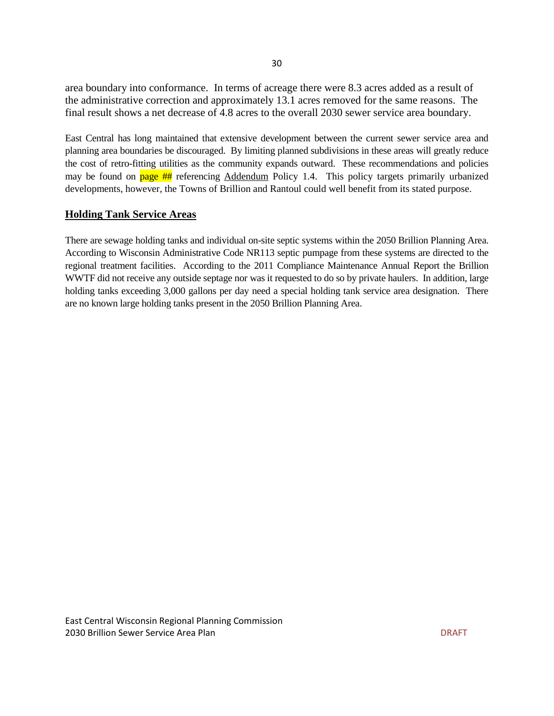area boundary into conformance. In terms of acreage there were 8.3 acres added as a result of the administrative correction and approximately 13.1 acres removed for the same reasons. The final result shows a net decrease of 4.8 acres to the overall 2030 sewer service area boundary.

East Central has long maintained that extensive development between the current sewer service area and planning area boundaries be discouraged. By limiting planned subdivisions in these areas will greatly reduce the cost of retro-fitting utilities as the community expands outward. These recommendations and policies may be found on  $page ##$  referencing Addendum Policy 1.4. This policy targets primarily urbanized developments, however, the Towns of Brillion and Rantoul could well benefit from its stated purpose.

#### **Holding Tank Service Areas**

There are sewage holding tanks and individual on-site septic systems within the 2050 Brillion Planning Area. According to Wisconsin Administrative Code NR113 septic pumpage from these systems are directed to the regional treatment facilities. According to the 2011 Compliance Maintenance Annual Report the Brillion WWTF did not receive any outside septage nor was it requested to do so by private haulers. In addition, large holding tanks exceeding 3,000 gallons per day need a special holding tank service area designation. There are no known large holding tanks present in the 2050 Brillion Planning Area.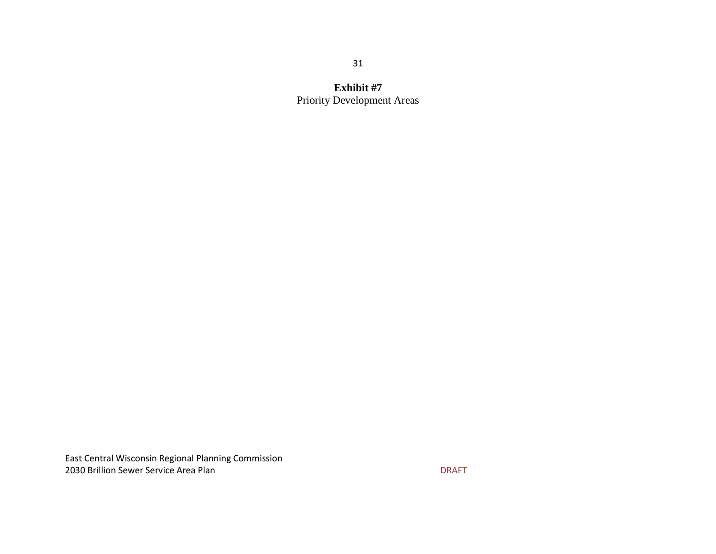**Exhibit #7** Priority Development Areas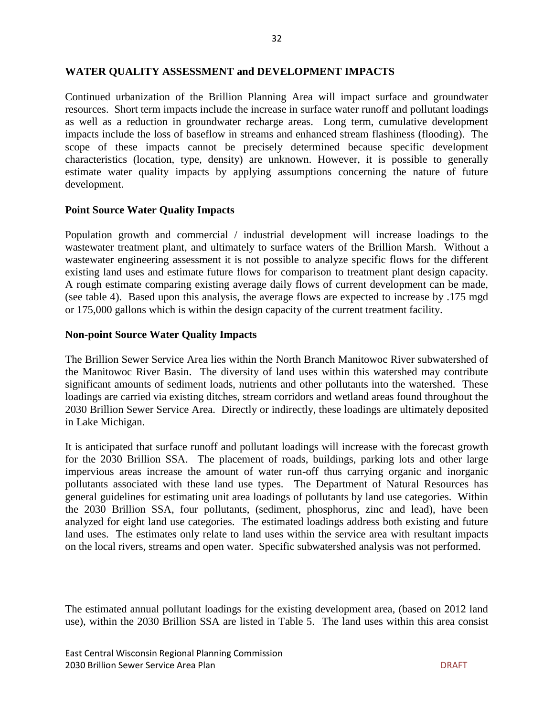Continued urbanization of the Brillion Planning Area will impact surface and groundwater resources. Short term impacts include the increase in surface water runoff and pollutant loadings as well as a reduction in groundwater recharge areas. Long term, cumulative development impacts include the loss of baseflow in streams and enhanced stream flashiness (flooding). The scope of these impacts cannot be precisely determined because specific development characteristics (location, type, density) are unknown. However, it is possible to generally estimate water quality impacts by applying assumptions concerning the nature of future development.

#### **Point Source Water Quality Impacts**

Population growth and commercial / industrial development will increase loadings to the wastewater treatment plant, and ultimately to surface waters of the Brillion Marsh. Without a wastewater engineering assessment it is not possible to analyze specific flows for the different existing land uses and estimate future flows for comparison to treatment plant design capacity. A rough estimate comparing existing average daily flows of current development can be made, (see table 4). Based upon this analysis, the average flows are expected to increase by .175 mgd or 175,000 gallons which is within the design capacity of the current treatment facility.

#### **Non-point Source Water Quality Impacts**

The Brillion Sewer Service Area lies within the North Branch Manitowoc River subwatershed of the Manitowoc River Basin. The diversity of land uses within this watershed may contribute significant amounts of sediment loads, nutrients and other pollutants into the watershed. These loadings are carried via existing ditches, stream corridors and wetland areas found throughout the 2030 Brillion Sewer Service Area. Directly or indirectly, these loadings are ultimately deposited in Lake Michigan.

It is anticipated that surface runoff and pollutant loadings will increase with the forecast growth for the 2030 Brillion SSA. The placement of roads, buildings, parking lots and other large impervious areas increase the amount of water run-off thus carrying organic and inorganic pollutants associated with these land use types. The Department of Natural Resources has general guidelines for estimating unit area loadings of pollutants by land use categories. Within the 2030 Brillion SSA, four pollutants, (sediment, phosphorus, zinc and lead), have been analyzed for eight land use categories. The estimated loadings address both existing and future land uses. The estimates only relate to land uses within the service area with resultant impacts on the local rivers, streams and open water. Specific subwatershed analysis was not performed.

The estimated annual pollutant loadings for the existing development area, (based on 2012 land use), within the 2030 Brillion SSA are listed in Table 5. The land uses within this area consist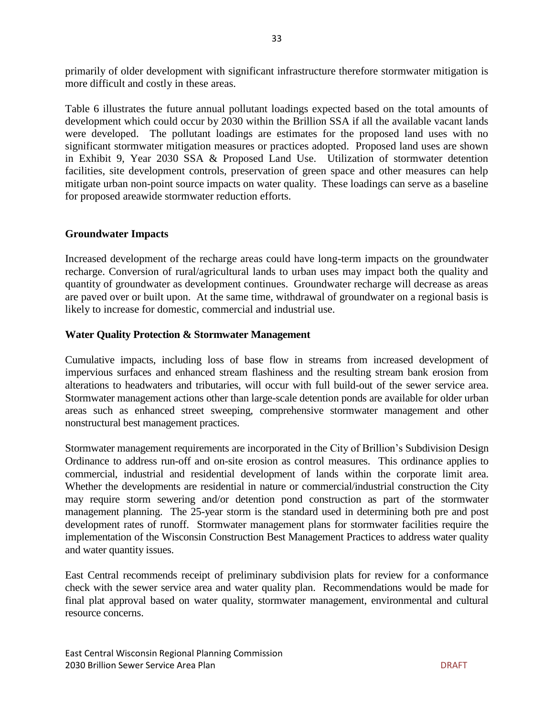primarily of older development with significant infrastructure therefore stormwater mitigation is more difficult and costly in these areas.

Table 6 illustrates the future annual pollutant loadings expected based on the total amounts of development which could occur by 2030 within the Brillion SSA if all the available vacant lands were developed. The pollutant loadings are estimates for the proposed land uses with no significant stormwater mitigation measures or practices adopted. Proposed land uses are shown in Exhibit 9, Year 2030 SSA & Proposed Land Use. Utilization of stormwater detention facilities, site development controls, preservation of green space and other measures can help mitigate urban non-point source impacts on water quality. These loadings can serve as a baseline for proposed areawide stormwater reduction efforts.

#### **Groundwater Impacts**

Increased development of the recharge areas could have long-term impacts on the groundwater recharge. Conversion of rural/agricultural lands to urban uses may impact both the quality and quantity of groundwater as development continues. Groundwater recharge will decrease as areas are paved over or built upon. At the same time, withdrawal of groundwater on a regional basis is likely to increase for domestic, commercial and industrial use.

#### **Water Quality Protection & Stormwater Management**

Cumulative impacts, including loss of base flow in streams from increased development of impervious surfaces and enhanced stream flashiness and the resulting stream bank erosion from alterations to headwaters and tributaries, will occur with full build-out of the sewer service area. Stormwater management actions other than large-scale detention ponds are available for older urban areas such as enhanced street sweeping, comprehensive stormwater management and other nonstructural best management practices.

Stormwater management requirements are incorporated in the City of Brillion's Subdivision Design Ordinance to address run-off and on-site erosion as control measures. This ordinance applies to commercial, industrial and residential development of lands within the corporate limit area. Whether the developments are residential in nature or commercial/industrial construction the City may require storm sewering and/or detention pond construction as part of the stormwater management planning. The 25-year storm is the standard used in determining both pre and post development rates of runoff. Stormwater management plans for stormwater facilities require the implementation of the Wisconsin Construction Best Management Practices to address water quality and water quantity issues.

East Central recommends receipt of preliminary subdivision plats for review for a conformance check with the sewer service area and water quality plan. Recommendations would be made for final plat approval based on water quality, stormwater management, environmental and cultural resource concerns.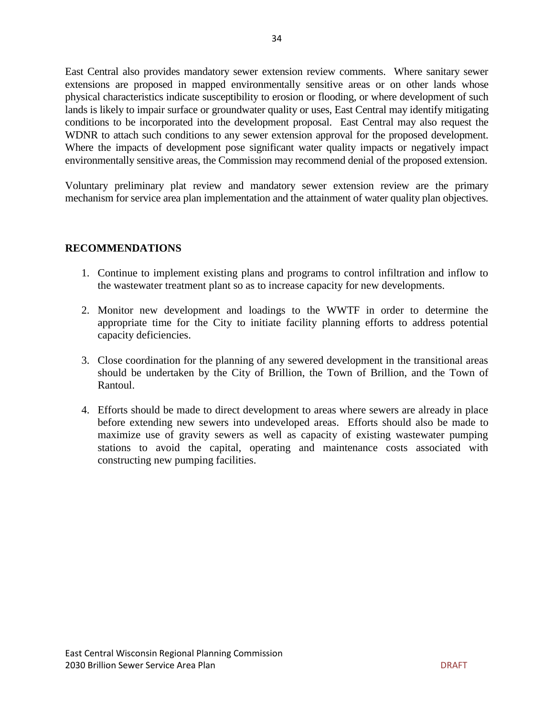East Central also provides mandatory sewer extension review comments. Where sanitary sewer extensions are proposed in mapped environmentally sensitive areas or on other lands whose physical characteristics indicate susceptibility to erosion or flooding, or where development of such lands is likely to impair surface or groundwater quality or uses, East Central may identify mitigating conditions to be incorporated into the development proposal. East Central may also request the WDNR to attach such conditions to any sewer extension approval for the proposed development. Where the impacts of development pose significant water quality impacts or negatively impact environmentally sensitive areas, the Commission may recommend denial of the proposed extension.

Voluntary preliminary plat review and mandatory sewer extension review are the primary mechanism for service area plan implementation and the attainment of water quality plan objectives.

#### **RECOMMENDATIONS**

- 1. Continue to implement existing plans and programs to control infiltration and inflow to the wastewater treatment plant so as to increase capacity for new developments.
- 2. Monitor new development and loadings to the WWTF in order to determine the appropriate time for the City to initiate facility planning efforts to address potential capacity deficiencies.
- 3. Close coordination for the planning of any sewered development in the transitional areas should be undertaken by the City of Brillion, the Town of Brillion, and the Town of Rantoul.
- 4. Efforts should be made to direct development to areas where sewers are already in place before extending new sewers into undeveloped areas. Efforts should also be made to maximize use of gravity sewers as well as capacity of existing wastewater pumping stations to avoid the capital, operating and maintenance costs associated with constructing new pumping facilities.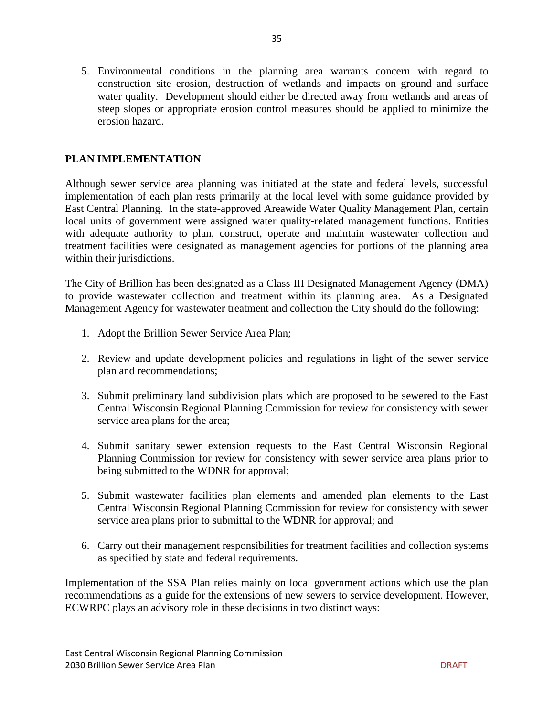5. Environmental conditions in the planning area warrants concern with regard to construction site erosion, destruction of wetlands and impacts on ground and surface water quality. Development should either be directed away from wetlands and areas of steep slopes or appropriate erosion control measures should be applied to minimize the erosion hazard.

#### **PLAN IMPLEMENTATION**

Although sewer service area planning was initiated at the state and federal levels, successful implementation of each plan rests primarily at the local level with some guidance provided by East Central Planning. In the state-approved Areawide Water Quality Management Plan, certain local units of government were assigned water quality-related management functions. Entities with adequate authority to plan, construct, operate and maintain wastewater collection and treatment facilities were designated as management agencies for portions of the planning area within their jurisdictions.

The City of Brillion has been designated as a Class III Designated Management Agency (DMA) to provide wastewater collection and treatment within its planning area. As a Designated Management Agency for wastewater treatment and collection the City should do the following:

- 1. Adopt the Brillion Sewer Service Area Plan;
- 2. Review and update development policies and regulations in light of the sewer service plan and recommendations;
- 3. Submit preliminary land subdivision plats which are proposed to be sewered to the East Central Wisconsin Regional Planning Commission for review for consistency with sewer service area plans for the area;
- 4. Submit sanitary sewer extension requests to the East Central Wisconsin Regional Planning Commission for review for consistency with sewer service area plans prior to being submitted to the WDNR for approval;
- 5. Submit wastewater facilities plan elements and amended plan elements to the East Central Wisconsin Regional Planning Commission for review for consistency with sewer service area plans prior to submittal to the WDNR for approval; and
- 6. Carry out their management responsibilities for treatment facilities and collection systems as specified by state and federal requirements.

Implementation of the SSA Plan relies mainly on local government actions which use the plan recommendations as a guide for the extensions of new sewers to service development. However, ECWRPC plays an advisory role in these decisions in two distinct ways: